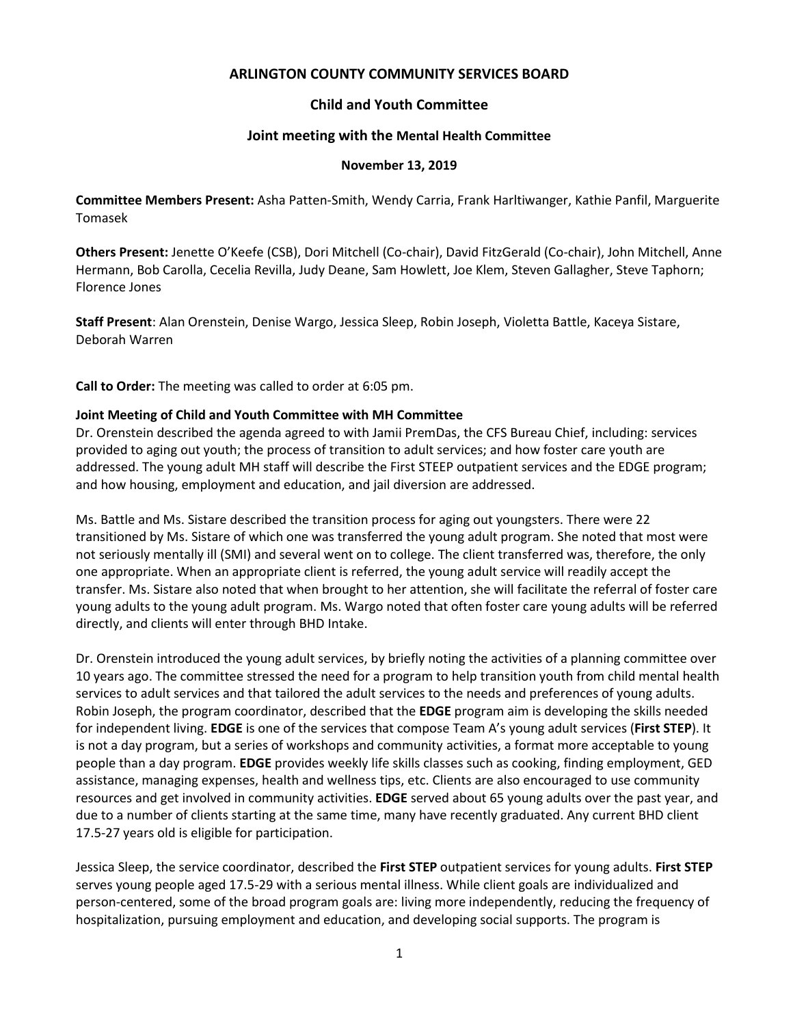# **ARLINGTON COUNTY COMMUNITY SERVICES BOARD**

# **Child and Youth Committee**

### **Joint meeting with the Mental Health Committee**

#### **November 13, 2019**

**Committee Members Present:** Asha Patten-Smith, Wendy Carria, Frank Harltiwanger, Kathie Panfil, Marguerite Tomasek

**Others Present:** Jenette O'Keefe (CSB), Dori Mitchell (Co-chair), David FitzGerald (Co-chair), John Mitchell, Anne Hermann, Bob Carolla, Cecelia Revilla, Judy Deane, Sam Howlett, Joe Klem, Steven Gallagher, Steve Taphorn; Florence Jones

**Staff Present**: Alan Orenstein, Denise Wargo, Jessica Sleep, Robin Joseph, Violetta Battle, Kaceya Sistare, Deborah Warren

**Call to Order:** The meeting was called to order at 6:05 pm.

### **Joint Meeting of Child and Youth Committee with MH Committee**

Dr. Orenstein described the agenda agreed to with Jamii PremDas, the CFS Bureau Chief, including: services provided to aging out youth; the process of transition to adult services; and how foster care youth are addressed. The young adult MH staff will describe the First STEEP outpatient services and the EDGE program; and how housing, employment and education, and jail diversion are addressed.

Ms. Battle and Ms. Sistare described the transition process for aging out youngsters. There were 22 transitioned by Ms. Sistare of which one was transferred the young adult program. She noted that most were not seriously mentally ill (SMI) and several went on to college. The client transferred was, therefore, the only one appropriate. When an appropriate client is referred, the young adult service will readily accept the transfer. Ms. Sistare also noted that when brought to her attention, she will facilitate the referral of foster care young adults to the young adult program. Ms. Wargo noted that often foster care young adults will be referred directly, and clients will enter through BHD Intake.

Dr. Orenstein introduced the young adult services, by briefly noting the activities of a planning committee over 10 years ago. The committee stressed the need for a program to help transition youth from child mental health services to adult services and that tailored the adult services to the needs and preferences of young adults. Robin Joseph, the program coordinator, described that the **EDGE** program aim is developing the skills needed for independent living. **EDGE** is one of the services that compose Team A's young adult services (**First STEP**). It is not a day program, but a series of workshops and community activities, a format more acceptable to young people than a day program. **EDGE** provides weekly life skills classes such as cooking, finding employment, GED assistance, managing expenses, health and wellness tips, etc. Clients are also encouraged to use community resources and get involved in community activities. **EDGE** served about 65 young adults over the past year, and due to a number of clients starting at the same time, many have recently graduated. Any current BHD client 17.5-27 years old is eligible for participation.

Jessica Sleep, the service coordinator, described the **First STEP** outpatient services for young adults. **First STEP** serves young people aged 17.5-29 with a serious mental illness. While client goals are individualized and person-centered, some of the broad program goals are: living more independently, reducing the frequency of hospitalization, pursuing employment and education, and developing social supports. The program is